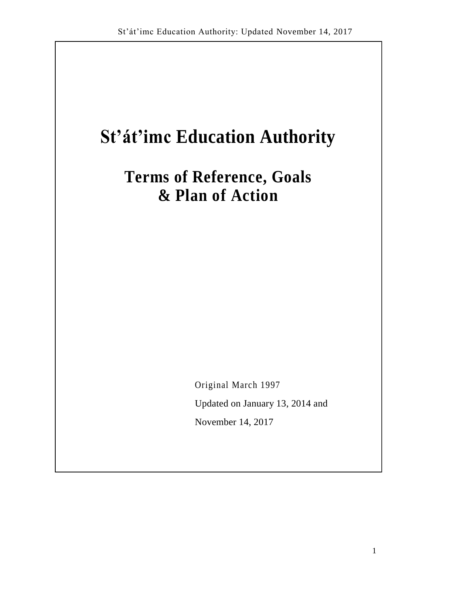# **St'át'imc Education Authority**

**Terms of Reference, Goals & Plan of Action**

Original March 1997

Updated on January 13, 2014 and

November 14, 2017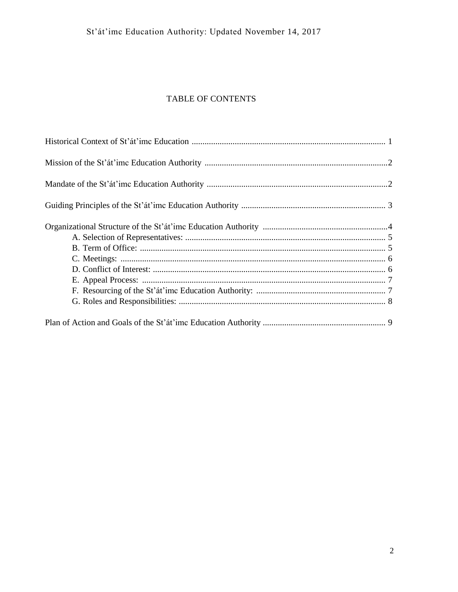# TABLE OF CONTENTS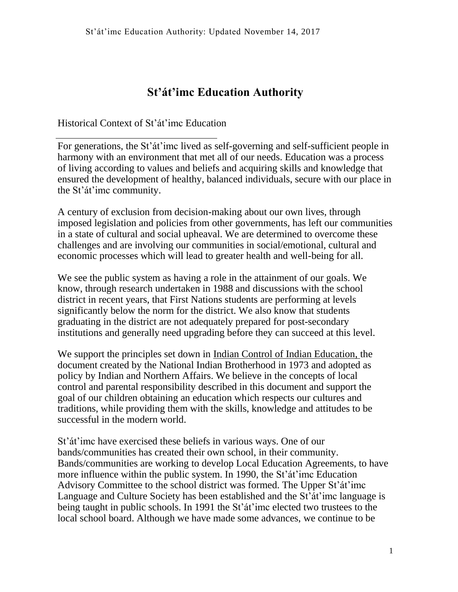# **St'át'imc Education Authority**

Historical Context of St'át'imc Education

For generations, the St'át'imc lived as self-governing and self-sufficient people in harmony with an environment that met all of our needs. Education was a process of living according to values and beliefs and acquiring skills and knowledge that ensured the development of healthy, balanced individuals, secure with our place in the St'át'imc community.

A century of exclusion from decision-making about our own lives, through imposed legislation and policies from other governments, has left our communities in a state of cultural and social upheaval. We are determined to overcome these challenges and are involving our communities in social/emotional, cultural and economic processes which will lead to greater health and well-being for all.

We see the public system as having a role in the attainment of our goals. We know, through research undertaken in 1988 and discussions with the school district in recent years, that First Nations students are performing at levels significantly below the norm for the district. We also know that students graduating in the district are not adequately prepared for post-secondary institutions and generally need upgrading before they can succeed at this level.

We support the principles set down in Indian Control of Indian Education, the document created by the National Indian Brotherhood in 1973 and adopted as policy by Indian and Northern Affairs. We believe in the concepts of local control and parental responsibility described in this document and support the goal of our children obtaining an education which respects our cultures and traditions, while providing them with the skills, knowledge and attitudes to be successful in the modern world.

St'át'imc have exercised these beliefs in various ways. One of our bands/communities has created their own school, in their community. Bands/communities are working to develop Local Education Agreements, to have more influence within the public system. In 1990, the St'át'imc Education Advisory Committee to the school district was formed. The Upper St'át'imc Language and Culture Society has been established and the St'át'imc language is being taught in public schools. In 1991 the St'át'imc elected two trustees to the local school board. Although we have made some advances, we continue to be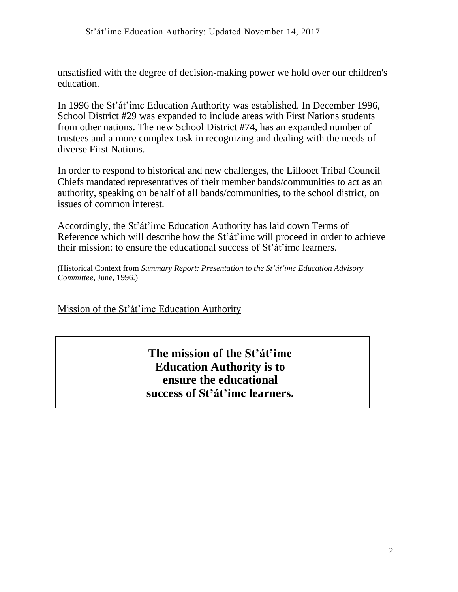unsatisfied with the degree of decision-making power we hold over our children's education.

In 1996 the St'át'imc Education Authority was established. In December 1996, School District #29 was expanded to include areas with First Nations students from other nations. The new School District #74, has an expanded number of trustees and a more complex task in recognizing and dealing with the needs of diverse First Nations.

In order to respond to historical and new challenges, the Lillooet Tribal Council Chiefs mandated representatives of their member bands/communities to act as an authority, speaking on behalf of all bands/communities, to the school district, on issues of common interest.

Accordingly, the St'át'imc Education Authority has laid down Terms of Reference which will describe how the St'át'imc will proceed in order to achieve their mission: to ensure the educational success of St'át'imc learners.

(Historical Context from *Summary Report: Presentation to the St'át'imc Education Advisory Committee,* June, 1996.)

Mission of the St'át'imc Education Authority

# **The mission of the St'át'imc Education Authority is to ensure the educational success of St'át'imc learners.**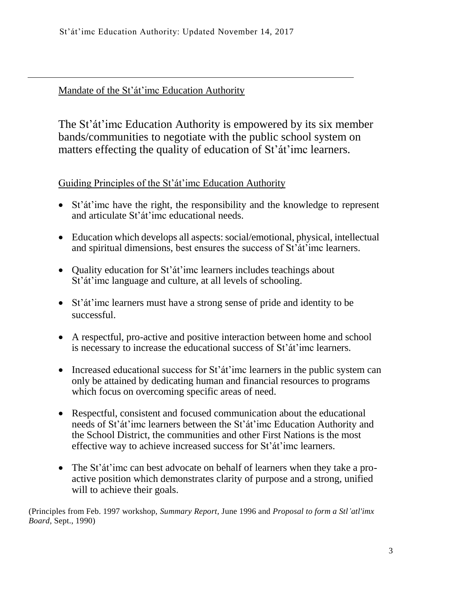# Mandate of the St'át'imc Education Authority

The St'át'imc Education Authority is empowered by its six member bands/communities to negotiate with the public school system on matters effecting the quality of education of St'át'imc learners.

Guiding Principles of the St'át'imc Education Authority

- St'át'imc have the right, the responsibility and the knowledge to represent and articulate St'át'imc educational needs.
- Education which develops all aspects: social/emotional, physical, intellectual and spiritual dimensions, best ensures the success of St'át'imc learners.
- Quality education for St'at'imc learners includes teachings about St'át'imc language and culture, at all levels of schooling.
- St'át'imc learners must have a strong sense of pride and identity to be successful.
- A respectful, pro-active and positive interaction between home and school is necessary to increase the educational success of St'át'imc learners.
- Increased educational success for St'at'imc learners in the public system can only be attained by dedicating human and financial resources to programs which focus on overcoming specific areas of need.
- Respectful, consistent and focused communication about the educational needs of St'át'imc learners between the St'át'imc Education Authority and the School District, the communities and other First Nations is the most effective way to achieve increased success for St'át'imc learners.
- The St'at'imc can best advocate on behalf of learners when they take a proactive position which demonstrates clarity of purpose and a strong, unified will to achieve their goals.

(Principles from Feb. 1997 workshop, *Summary Report,* June 1996 and *Proposal to form a Stl'atl'imx Board,* Sept., 1990)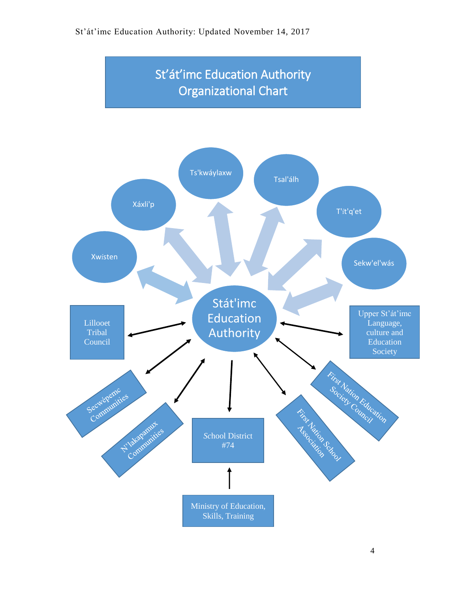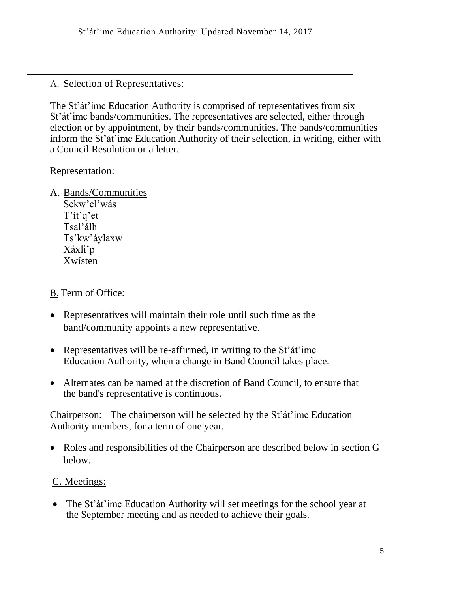# A. Selection of Representatives:

The St'át'imc Education Authority is comprised of representatives from six St'át'imc bands/communities. The representatives are selected, either through election or by appointment, by their bands/communities. The bands/communities inform the St'át'imc Education Authority of their selection, in writing, either with a Council Resolution or a letter.

Representation:

- A. Bands/Communities
	- Sekw'el'wás T'ít'q'et Tsal'álh Ts'kw'áylaxw Xáxli'p Xwísten

# B. Term of Office:

- Representatives will maintain their role until such time as the band/community appoints a new representative.
- Representatives will be re-affirmed, in writing to the St'at'imc Education Authority, when a change in Band Council takes place.
- Alternates can be named at the discretion of Band Council, to ensure that the band's representative is continuous.

Chairperson: The chairperson will be selected by the St'át'imc Education Authority members, for a term of one year.

 Roles and responsibilities of the Chairperson are described below in section G below.

# C. Meetings:

• The St'at'imc Education Authority will set meetings for the school year at the September meeting and as needed to achieve their goals.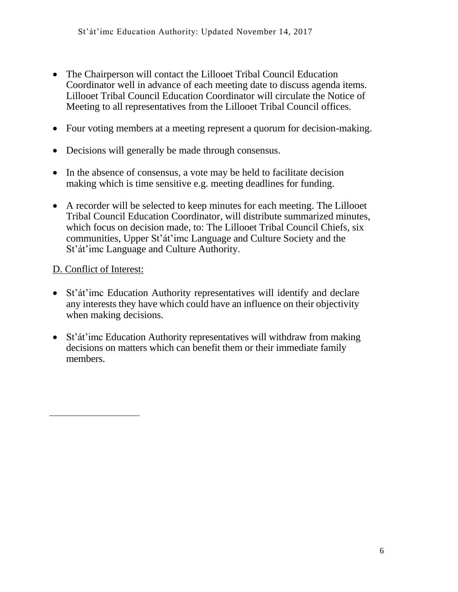- The Chairperson will contact the Lillooet Tribal Council Education Coordinator well in advance of each meeting date to discuss agenda items. Lillooet Tribal Council Education Coordinator will circulate the Notice of Meeting to all representatives from the Lillooet Tribal Council offices.
- Four voting members at a meeting represent a quorum for decision-making.
- Decisions will generally be made through consensus.
- In the absence of consensus, a vote may be held to facilitate decision making which is time sensitive e.g. meeting deadlines for funding.
- A recorder will be selected to keep minutes for each meeting. The Lillooet Tribal Council Education Coordinator, will distribute summarized minutes, which focus on decision made, to: The Lillooet Tribal Council Chiefs, six communities, Upper St'át'imc Language and Culture Society and the St'át'imc Language and Culture Authority.

# D. Conflict of Interest:

- St'át'imc Education Authority representatives will identify and declare any interests they have which could have an influence on their objectivity when making decisions.
- St'át'imc Education Authority representatives will withdraw from making decisions on matters which can benefit them or their immediate family members.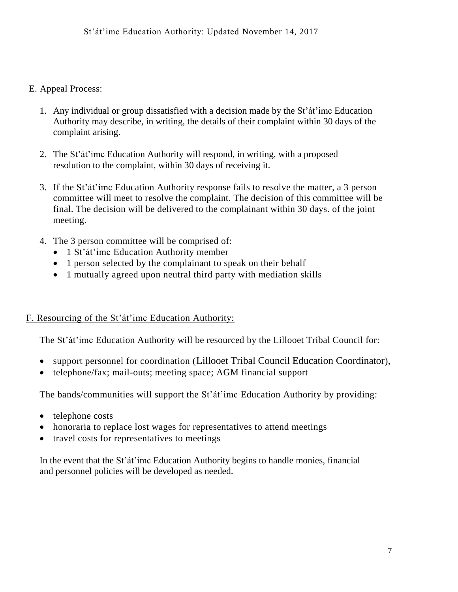#### E. Appeal Process:

- 1. Any individual or group dissatisfied with a decision made by the St'át'imc Education Authority may describe, in writing, the details of their complaint within 30 days of the complaint arising.
- 2. The St'át'imc Education Authority will respond, in writing, with a proposed resolution to the complaint, within 30 days of receiving it.
- 3. If the St'át'imc Education Authority response fails to resolve the matter, a 3 person committee will meet to resolve the complaint. The decision of this committee will be final. The decision will be delivered to the complainant within 30 days. of the joint meeting.
- 4. The 3 person committee will be comprised of:
	- 1 St'át'imc Education Authority member
	- 1 person selected by the complainant to speak on their behalf
	- 1 mutually agreed upon neutral third party with mediation skills

#### F. Resourcing of the St'át'imc Education Authority:

The St'át'imc Education Authority will be resourced by the Lillooet Tribal Council for:

- support personnel for coordination (Lillooet Tribal Council Education Coordinator),
- telephone/fax; mail-outs; meeting space; AGM financial support

The bands/communities will support the St'át'imc Education Authority by providing:

- $\bullet$  telephone costs
- honoraria to replace lost wages for representatives to attend meetings
- travel costs for representatives to meetings

In the event that the St'át'imc Education Authority begins to handle monies, financial and personnel policies will be developed as needed.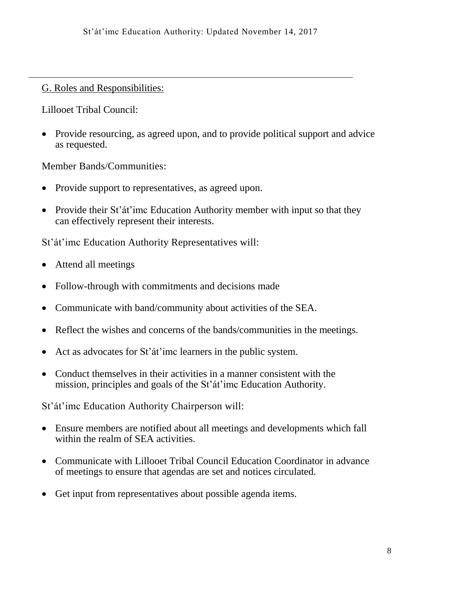# G. Roles and Responsibilities:

Lillooet Tribal Council:

• Provide resourcing, as agreed upon, and to provide political support and advice as requested.

Member Bands/Communities:

- Provide support to representatives, as agreed upon.
- Provide their St'at'imc Education Authority member with input so that they can effectively represent their interests.

St'át'imc Education Authority Representatives will:

- Attend all meetings
- Follow-through with commitments and decisions made
- Communicate with band/community about activities of the SEA.
- Reflect the wishes and concerns of the bands/communities in the meetings.
- Act as advocates for St'át'imc learners in the public system.
- Conduct themselves in their activities in a manner consistent with the mission, principles and goals of the St'át'imc Education Authority.

St'át'imc Education Authority Chairperson will:

- Ensure members are notified about all meetings and developments which fall within the realm of SEA activities.
- Communicate with Lillooet Tribal Council Education Coordinator in advance of meetings to ensure that agendas are set and notices circulated.
- Get input from representatives about possible agenda items.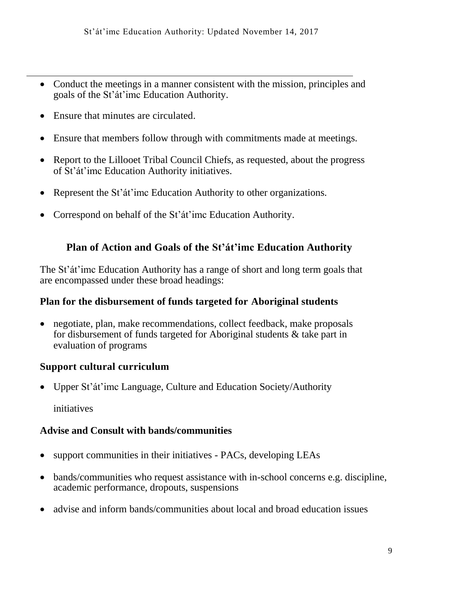- Conduct the meetings in a manner consistent with the mission, principles and goals of the St'át'imc Education Authority.
- Ensure that minutes are circulated.
- Ensure that members follow through with commitments made at meetings.
- Report to the Lillooet Tribal Council Chiefs, as requested, about the progress of St'át'imc Education Authority initiatives.
- Represent the St'at'imc Education Authority to other organizations.
- Correspond on behalf of the St'át'imc Education Authority.

# **Plan of Action and Goals of the St'át'imc Education Authority**

The St'át'imc Education Authority has a range of short and long term goals that are encompassed under these broad headings:

# **Plan for the disbursement of funds targeted for Aboriginal students**

 negotiate, plan, make recommendations, collect feedback, make proposals for disbursement of funds targeted for Aboriginal students & take part in evaluation of programs

# **Support cultural curriculum**

Upper St'át'imc Language, Culture and Education Society/Authority

initiatives

# **Advise and Consult with bands/communities**

- support communities in their initiatives PACs, developing LEAs
- bands/communities who request assistance with in-school concerns e.g. discipline, academic performance, dropouts, suspensions
- advise and inform bands/communities about local and broad education issues